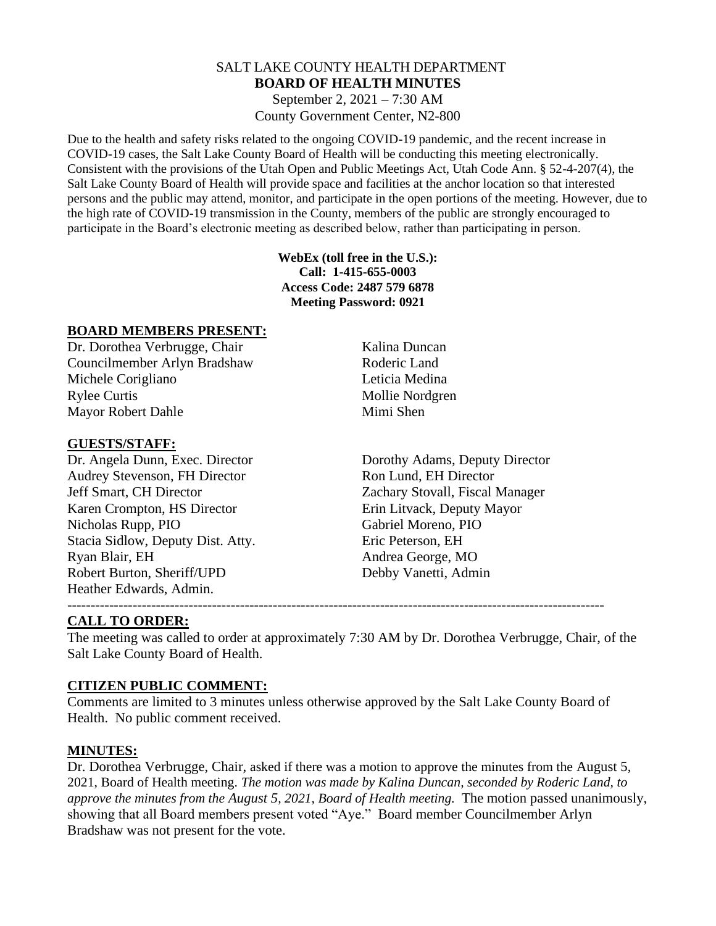#### SALT LAKE COUNTY HEALTH DEPARTMENT **BOARD OF HEALTH MINUTES** September 2, 2021 – 7:30 AM

County Government Center, N2-800

Due to the health and safety risks related to the ongoing COVID-19 pandemic, and the recent increase in COVID-19 cases, the Salt Lake County Board of Health will be conducting this meeting electronically. Consistent with the provisions of the Utah Open and Public Meetings Act, Utah Code Ann. § 52-4-207(4), the Salt Lake County Board of Health will provide space and facilities at the anchor location so that interested persons and the public may attend, monitor, and participate in the open portions of the meeting. However, due to the high rate of COVID-19 transmission in the County, members of the public are strongly encouraged to participate in the Board's electronic meeting as described below, rather than participating in person.

> **WebEx (toll free in the U.S.): Call: 1-415-655-0003 Access Code: 2487 579 6878 Meeting Password: 0921**

#### **BOARD MEMBERS PRESENT:**

Dr. Dorothea Verbrugge, Chair Kalina Duncan Councilmember Arlyn Bradshaw Roderic Land Michele Corigliano **Leticia Medina** Rylee Curtis Mollie Nordgren Mayor Robert Dahle Mimi Shen

#### **GUESTS/STAFF:**

Audrey Stevenson, FH Director Ron Lund, EH Director Jeff Smart, CH Director Zachary Stovall, Fiscal Manager Karen Crompton, HS Director Erin Litvack, Deputy Mayor Nicholas Rupp, PIO Gabriel Moreno, PIO Stacia Sidlow, Deputy Dist. Atty. Eric Peterson, EH Ryan Blair, EH Andrea George, MO Robert Burton, Sheriff/UPD Debby Vanetti, Admin Heather Edwards, Admin.

Dr. Angela Dunn, Exec. Director Dorothy Adams, Deputy Director

#### ------------------------------------------------------------------------------------------------------------------- **CALL TO ORDER:**

The meeting was called to order at approximately 7:30 AM by Dr. Dorothea Verbrugge, Chair, of the Salt Lake County Board of Health.

## **CITIZEN PUBLIC COMMENT:**

Comments are limited to 3 minutes unless otherwise approved by the Salt Lake County Board of Health. No public comment received.

#### **MINUTES:**

Dr. Dorothea Verbrugge, Chair, asked if there was a motion to approve the minutes from the August 5, 2021, Board of Health meeting. *The motion was made by Kalina Duncan, seconded by Roderic Land, to approve the minutes from the August 5, 2021, Board of Health meeting.* The motion passed unanimously, showing that all Board members present voted "Aye." Board member Councilmember Arlyn Bradshaw was not present for the vote.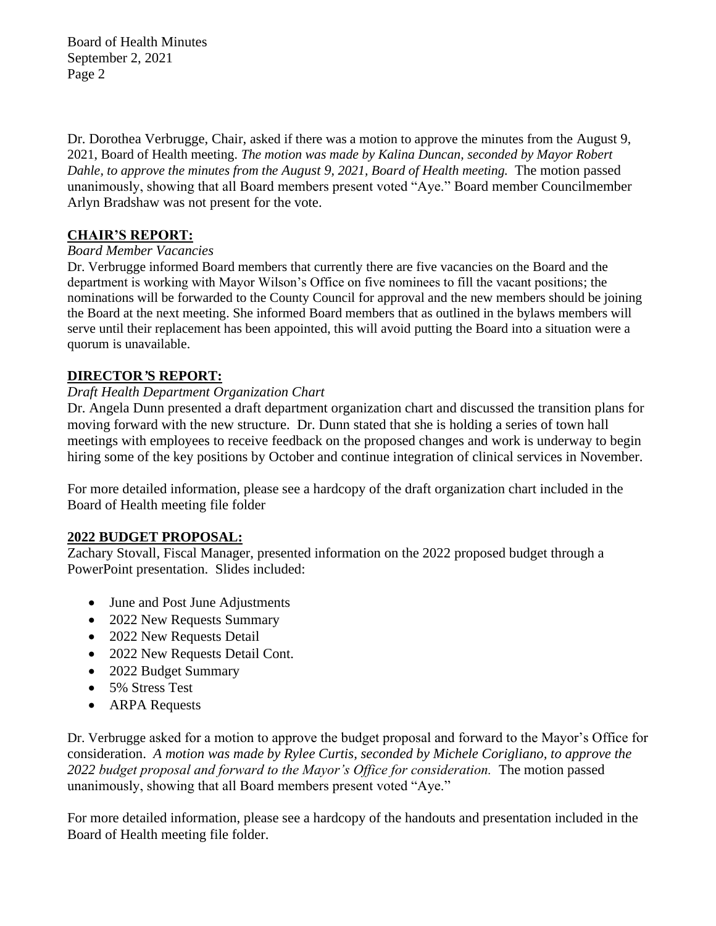Board of Health Minutes September 2, 2021 Page 2

Dr. Dorothea Verbrugge, Chair, asked if there was a motion to approve the minutes from the August 9, 2021, Board of Health meeting. *The motion was made by Kalina Duncan, seconded by Mayor Robert Dahle, to approve the minutes from the August 9, 2021, Board of Health meeting.* The motion passed unanimously, showing that all Board members present voted "Aye." Board member Councilmember Arlyn Bradshaw was not present for the vote.

# **CHAIR'S REPORT:**

## *Board Member Vacancies*

Dr. Verbrugge informed Board members that currently there are five vacancies on the Board and the department is working with Mayor Wilson's Office on five nominees to fill the vacant positions; the nominations will be forwarded to the County Council for approval and the new members should be joining the Board at the next meeting. She informed Board members that as outlined in the bylaws members will serve until their replacement has been appointed, this will avoid putting the Board into a situation were a quorum is unavailable.

## **DIRECTOR***'***S REPORT:**

### *Draft Health Department Organization Chart*

Dr. Angela Dunn presented a draft department organization chart and discussed the transition plans for moving forward with the new structure. Dr. Dunn stated that she is holding a series of town hall meetings with employees to receive feedback on the proposed changes and work is underway to begin hiring some of the key positions by October and continue integration of clinical services in November.

For more detailed information, please see a hardcopy of the draft organization chart included in the Board of Health meeting file folder

## **2022 BUDGET PROPOSAL:**

Zachary Stovall, Fiscal Manager, presented information on the 2022 proposed budget through a PowerPoint presentation. Slides included:

- June and Post June Adjustments
- 2022 New Requests Summary
- 2022 New Requests Detail
- 2022 New Requests Detail Cont.
- 2022 Budget Summary
- 5% Stress Test
- ARPA Requests

Dr. Verbrugge asked for a motion to approve the budget proposal and forward to the Mayor's Office for consideration. *A motion was made by Rylee Curtis, seconded by Michele Corigliano, to approve the 2022 budget proposal and forward to the Mayor's Office for consideration.* The motion passed unanimously, showing that all Board members present voted "Aye."

For more detailed information, please see a hardcopy of the handouts and presentation included in the Board of Health meeting file folder.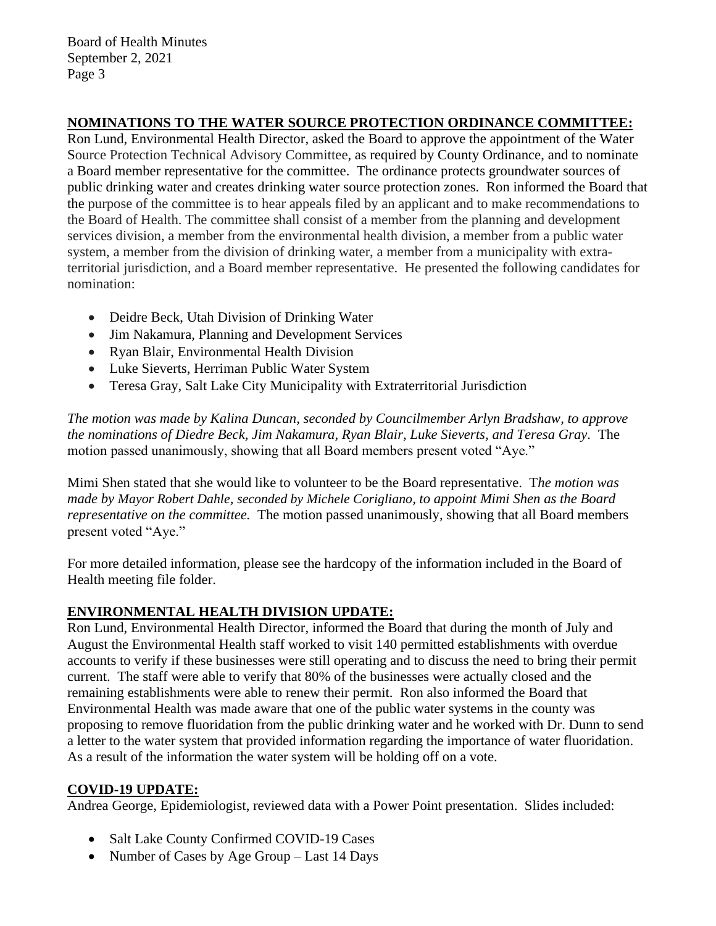Board of Health Minutes September 2, 2021 Page 3

## **NOMINATIONS TO THE WATER SOURCE PROTECTION ORDINANCE COMMITTEE:**

Ron Lund, Environmental Health Director, asked the Board to approve the appointment of the Water Source Protection Technical Advisory Committee, as required by County Ordinance, and to nominate a Board member representative for the committee. The ordinance protects groundwater sources of public drinking water and creates drinking water source protection zones. Ron informed the Board that the purpose of the committee is to hear appeals filed by an applicant and to make recommendations to the Board of Health. The committee shall consist of a member from the planning and development services division, a member from the environmental health division, a member from a public water system, a member from the division of drinking water, a member from a municipality with extraterritorial jurisdiction, and a Board member representative. He presented the following candidates for nomination:

- Deidre Beck, Utah Division of Drinking Water
- Jim Nakamura, Planning and Development Services
- Ryan Blair, Environmental Health Division
- Luke Sieverts, Herriman Public Water System
- Teresa Gray, Salt Lake City Municipality with Extraterritorial Jurisdiction

*The motion was made by Kalina Duncan, seconded by Councilmember Arlyn Bradshaw, to approve the nominations of Diedre Beck, Jim Nakamura, Ryan Blair, Luke Sieverts, and Teresa Gray.* The motion passed unanimously, showing that all Board members present voted "Aye."

Mimi Shen stated that she would like to volunteer to be the Board representative. T*he motion was made by Mayor Robert Dahle, seconded by Michele Corigliano, to appoint Mimi Shen as the Board representative on the committee.* The motion passed unanimously, showing that all Board members present voted "Aye."

For more detailed information, please see the hardcopy of the information included in the Board of Health meeting file folder.

# **ENVIRONMENTAL HEALTH DIVISION UPDATE:**

Ron Lund, Environmental Health Director, informed the Board that during the month of July and August the Environmental Health staff worked to visit 140 permitted establishments with overdue accounts to verify if these businesses were still operating and to discuss the need to bring their permit current. The staff were able to verify that 80% of the businesses were actually closed and the remaining establishments were able to renew their permit. Ron also informed the Board that Environmental Health was made aware that one of the public water systems in the county was proposing to remove fluoridation from the public drinking water and he worked with Dr. Dunn to send a letter to the water system that provided information regarding the importance of water fluoridation. As a result of the information the water system will be holding off on a vote.

## **COVID-19 UPDATE:**

Andrea George, Epidemiologist, reviewed data with a Power Point presentation. Slides included:

- Salt Lake County Confirmed COVID-19 Cases
- Number of Cases by Age Group Last 14 Days